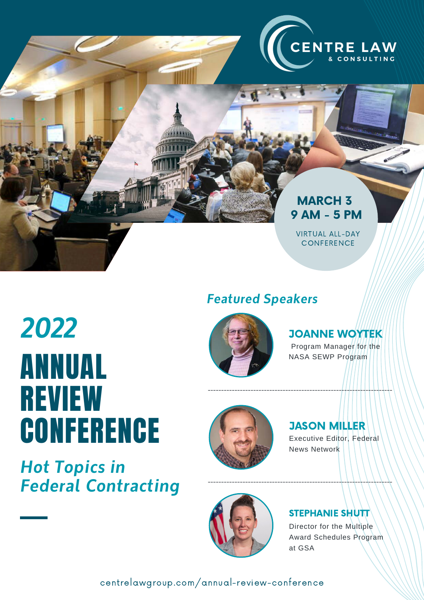

## MARCH 3 9 AM - 5 PM

VIRTUAL ALL-DAY **CONFERENCE** 

# ANNUAL REVIEW **CONFERENCE** *2022*

*Hot Topics in Federal Contracting*



*Featured Speakers*

# JOANNE WOYTEK

Program Manager for the NASA SEWP Program



#### JASON MILLER Executive Editor, Federal

News Network



#### STEPHANIE SHUTT

Director for the Multiple Award Schedules Program at GSA

centrelawgroup.com/annual-review-conference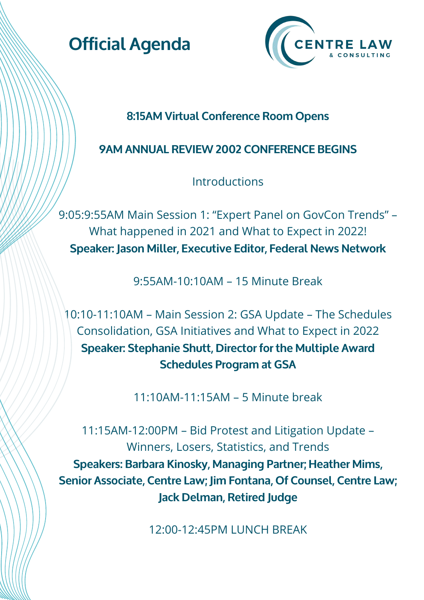



### **8:15AM Virtual Conference Room Opens**

## **9AM ANNUAL REVIEW 2002 CONFERENCE BEGINS**

**Introductions** 

9:05:9:55AM Main Session 1: "Expert Panel on GovCon Trends" – What happened in 2021 and What to Expect in 2022! **Speaker: Jason Miller, Executive Editor, Federal News Network**

9:55AM-10:10AM – 15 Minute Break

10:10-11:10AM – Main Session 2: GSA Update – The Schedules Consolidation, GSA Initiatives and What to Expect in 2022 **Speaker: Stephanie Shutt, Director for the Multiple Award Schedules Program at GSA**

11:10AM-11:15AM – 5 Minute break

11:15AM-12:00PM – Bid Protest and Litigation Update – Winners, Losers, Statistics, and Trends **Speakers: Barbara Kinosky, Managing Partner; Heather Mims, Senior Associate, Centre Law; Jim Fontana, Of Counsel, Centre Law; Jack Delman, Retired Judge**

12:00-12:45PM LUNCH BREAK